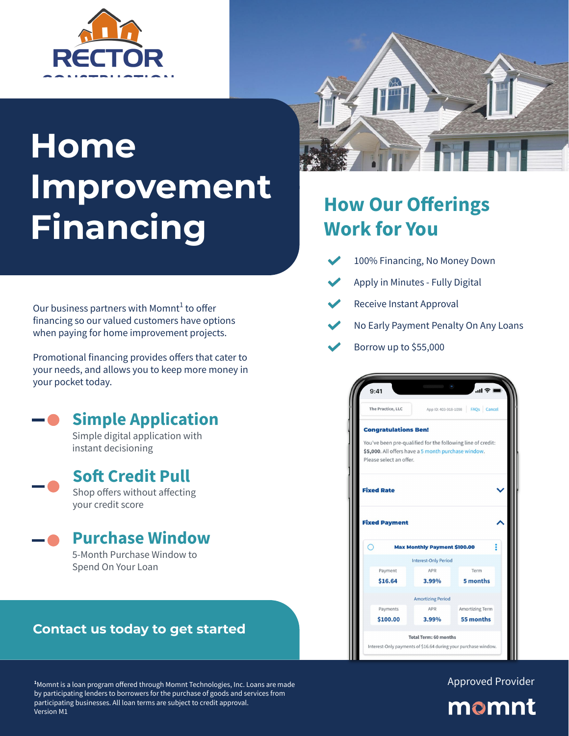# **Home Improvement Financing**

Our business partners with Momnt $^1$  to offer financing so our valued customers have options when paying for home improvement projects.

Promotional financing provides offers that cater to your needs, and allows you to keep more money in your pocket today.

### **Simple Application**

Simple digital application with instant decisioning

### **Soft Credit Pull**

Shop offers without affecting your credit score

#### **Purchase Window**

5-Month Purchase Window to Spend On Your Loan

#### **Contact us today to get started**



## **How Our Offerings Work for You**

- 100% Financing, No Money Down
- Apply in Minutes Fully Digital
- Receive Instant Approval
- No Early Payment Penalty On Any Loans
- Borrow up to \$55,000



Approved Provider



**<sup>1</sup>**Momnt is a loan program offered through Momnt Technologies, Inc. Loans are made by participating lenders to borrowers for the purchase of goods and services from participating businesses. All loan terms are subject to credit approval. Version M1